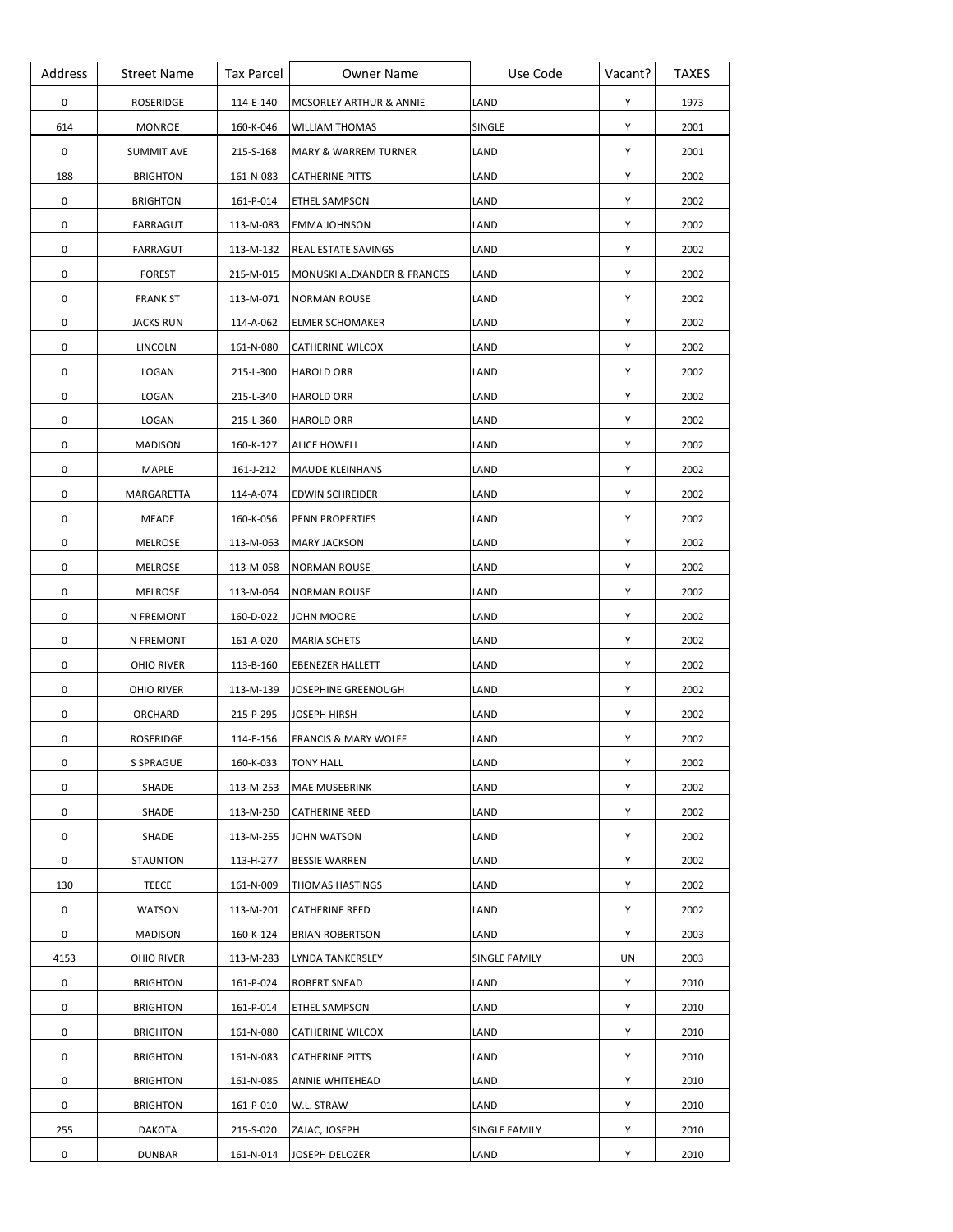| Address | <b>Street Name</b> | <b>Tax Parcel</b> | <b>Owner Name</b>               | Use Code      | Vacant? | <b>TAXES</b> |
|---------|--------------------|-------------------|---------------------------------|---------------|---------|--------------|
| 0       | ROSERIDGE          | 114-E-140         | MCSORLEY ARTHUR & ANNIE         | LAND          | Y       | 1973         |
| 614     | MONROE             | 160-K-046         | <b>WILLIAM THOMAS</b>           | SINGLE        | Υ       | 2001         |
| 0       | <b>SUMMIT AVE</b>  | 215-S-168         | MARY & WARREM TURNER            | LAND          | Y       | 2001         |
| 188     | <b>BRIGHTON</b>    | 161-N-083         | <b>CATHERINE PITTS</b>          | LAND          | Y       | 2002         |
| 0       | <b>BRIGHTON</b>    | 161-P-014         | ETHEL SAMPSON                   | LAND          | Y       | 2002         |
| 0       | FARRAGUT           | 113-M-083         | EMMA JOHNSON                    | LAND          | Y       | 2002         |
| 0       | FARRAGUT           | 113-M-132         | REAL ESTATE SAVINGS             | LAND          | Y       | 2002         |
| 0       | <b>FOREST</b>      | 215-M-015         | MONUSKI ALEXANDER & FRANCES     | LAND          | Y       | 2002         |
| 0       | <b>FRANK ST</b>    | 113-M-071         | <b>NORMAN ROUSE</b>             | LAND          | Y       | 2002         |
| 0       | <b>JACKS RUN</b>   | 114-A-062         | <b>ELMER SCHOMAKER</b>          | LAND          | Y       | 2002         |
| 0       | LINCOLN            | 161-N-080         | CATHERINE WILCOX                | LAND          | Y       | 2002         |
| 0       | LOGAN              | 215-L-300         | <b>HAROLD ORR</b>               | LAND          | Y       | 2002         |
| 0       | LOGAN              | 215-L-340         | <b>HAROLD ORR</b>               | LAND          | Y       | 2002         |
| 0       | LOGAN              | 215-L-360         | <b>HAROLD ORR</b>               | LAND          | Y       | 2002         |
| 0       | <b>MADISON</b>     | 160-K-127         | <b>ALICE HOWELL</b>             | LAND          | Υ       | 2002         |
| 0       | MAPLE              | 161-J-212         | MAUDE KLEINHANS                 | LAND          | Υ       | 2002         |
| 0       | MARGARETTA         | 114-A-074         | EDWIN SCHREIDER                 | LAND          | Y       | 2002         |
| 0       | MEADE              | 160-K-056         | PENN PROPERTIES                 | LAND          | Y       | 2002         |
| 0       | MELROSE            | 113-M-063         | <b>MARY JACKSON</b>             | LAND          | Y       | 2002         |
| 0       | MELROSE            | 113-M-058         | <b>NORMAN ROUSE</b>             | LAND          | Υ       | 2002         |
| 0       | MELROSE            | 113-M-064         | <b>NORMAN ROUSE</b>             | LAND          | Y       | 2002         |
| 0       | N FREMONT          | 160-D-022         | JOHN MOORE                      | LAND          | Y       | 2002         |
| 0       | N FREMONT          | 161-A-020         | <b>MARIA SCHETS</b>             | LAND          | Y       | 2002         |
| 0       | OHIO RIVER         | 113-B-160         | EBENEZER HALLETT                | LAND          | Y       | 2002         |
| 0       | OHIO RIVER         | 113-M-139         | JOSEPHINE GREENOUGH             | LAND          | Y       | 2002         |
| 0       | ORCHARD            | 215-P-295         | JOSEPH HIRSH                    | LAND          | Y       | 2002         |
| 0       | ROSERIDGE          | 114-E-156         | <b>FRANCIS &amp; MARY WOLFF</b> | LAND          | Y       | 2002         |
| 0       | <b>S SPRAGUE</b>   | 160-K-033         | <b>TONY HALL</b>                | LAND          | Y       | 2002         |
| 0       | SHADE              | 113-M-253         | <b>MAE MUSEBRINK</b>            | LAND          | Y       | 2002         |
| 0       | SHADE              | 113-M-250         | <b>CATHERINE REED</b>           | LAND          | Y       | 2002         |
| 0       | SHADE              | 113-M-255         | <b>JOHN WATSON</b>              | LAND          | Y       | 2002         |
| 0       | STAUNTON           | 113-H-277         | <b>BESSIE WARREN</b>            | LAND          | Y       | 2002         |
| 130     | TEECE              | 161-N-009         | THOMAS HASTINGS                 | LAND          | Y       | 2002         |
| 0       | <b>WATSON</b>      | 113-M-201         | CATHERINE REED                  | LAND          | Y       | 2002         |
| 0       | <b>MADISON</b>     | 160-K-124         | <b>BRIAN ROBERTSON</b>          | LAND          | Y       | 2003         |
| 4153    | OHIO RIVER         | 113-M-283         | LYNDA TANKERSLEY                | SINGLE FAMILY | UN      | 2003         |
| 0       | <b>BRIGHTON</b>    | 161-P-024         | ROBERT SNEAD                    | LAND          | Υ       | 2010         |
| 0       | <b>BRIGHTON</b>    | 161-P-014         | ETHEL SAMPSON                   | LAND          | Y       | 2010         |
| 0       | <b>BRIGHTON</b>    | 161-N-080         | CATHERINE WILCOX                | LAND          | Y       | 2010         |
| 0       | <b>BRIGHTON</b>    | 161-N-083         | CATHERINE PITTS                 | LAND          | Y       | 2010         |
| 0       | <b>BRIGHTON</b>    | 161-N-085         | ANNIE WHITEHEAD                 | LAND          | Y       | 2010         |
| 0       | <b>BRIGHTON</b>    | 161-P-010         | W.L. STRAW                      | LAND          | Y       | 2010         |
| 255     | DAKOTA             | 215-S-020         | ZAJAC, JOSEPH                   | SINGLE FAMILY | Y       | 2010         |
| 0       | <b>DUNBAR</b>      | 161-N-014         | JOSEPH DELOZER                  | LAND          | Y       | 2010         |